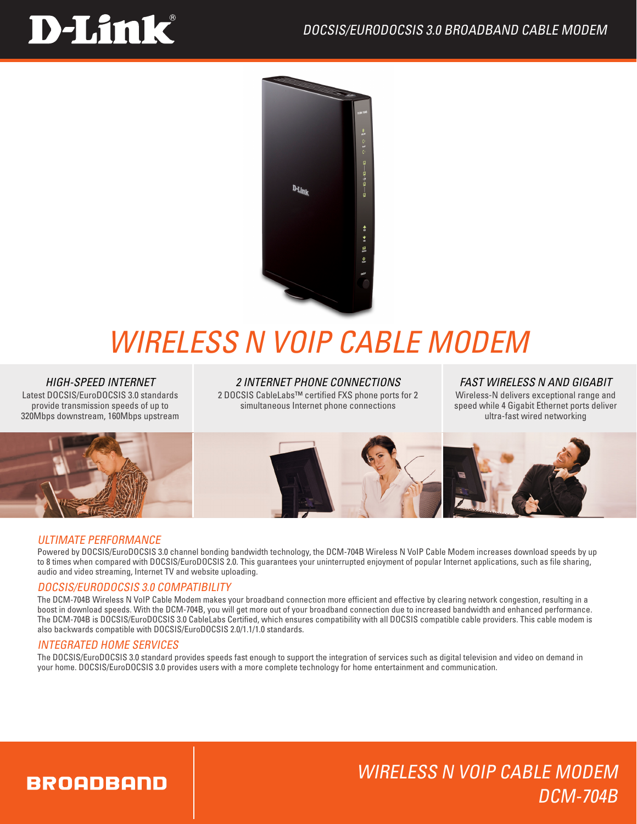## **D-Link**



## *Wireless N VoIP Cable Modem*

#### *HIGH-SPEED INTERNET*

Latest DOCSIS/EuroDOCSIS 3.0 standards provide transmission speeds of up to 320Mbps downstream, 160Mbps upstream

*2 INTERNET PHONE CONNECTIONS* 2 DOCSIS CableLabs™ certified FXS phone ports for 2 simultaneous Internet phone connections

#### *FAST WIRELESS N AND GIGABIT*

Wireless-N delivers exceptional range and speed while 4 Gigabit Ethernet ports deliver ultra-fast wired networking



#### ULTIMATE PERFORMANCE

Powered by DOCSIS/EuroDOCSIS 3.0 channel bonding bandwidth technology, the DCM-704B Wireless N VoIP Cable Modem increases download speeds by up to 8 times when compared with DOCSIS/EuroDOCSIS 2.0. This guarantees your uninterrupted enjoyment of popular Internet applications, such as file sharing, audio and video streaming, Internet TV and website uploading.

#### DOCSIS/EURODOCSIS 3.0 COMPATIBILITY

The DCM-704B Wireless N VoIP Cable Modem makes your broadband connection more efficient and effective by clearing network congestion, resulting in a boost in download speeds. With the DCM-704B, you will get more out of your broadband connection due to increased bandwidth and enhanced performance. The DCM-704B is DOCSIS/EuroDOCSIS 3.0 CableLabs Certified, which ensures compatibility with all DOCSIS compatible cable providers. This cable modem is also backwards compatible with DOCSIS/EuroDOCSIS 2.0/1.1/1.0 standards.

#### INTEGRATED HOME SERVICES

The DOCSIS/EuroDOCSIS 3.0 standard provides speeds fast enough to support the integration of services such as digital television and video on demand in your home. DOCSIS/EuroDOCSIS 3.0 provides users with a more complete technology for home entertainment and communication.

## **BROADBAND**

## Wireless N VoIP Cable Modem DCM-704B